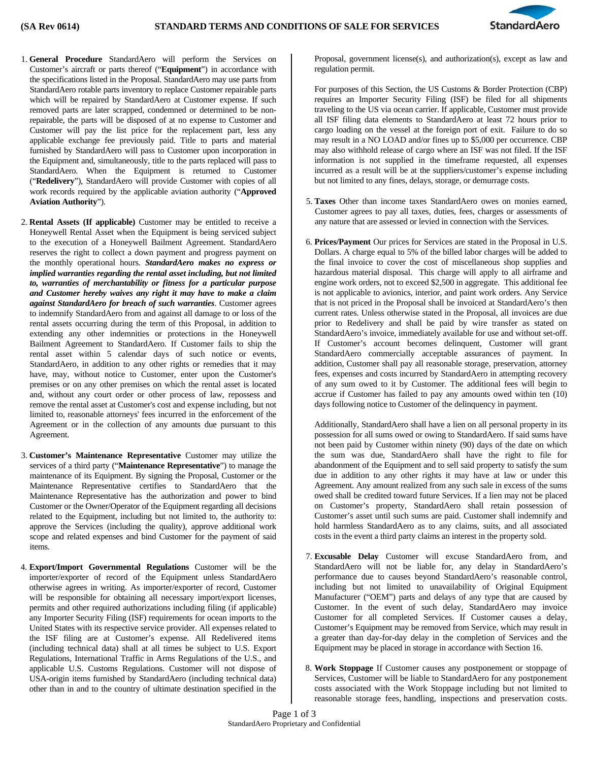

- 1. **General Procedure** StandardAero will perform the Services on Customer's aircraft or parts thereof ("**Equipment**") in accordance with the specifications listed in the Proposal. StandardAero may use parts from StandardAero rotable parts inventory to replace Customer repairable parts which will be repaired by StandardAero at Customer expense. If such removed parts are later scrapped, condemned or determined to be nonrepairable, the parts will be disposed of at no expense to Customer and Customer will pay the list price for the replacement part, less any applicable exchange fee previously paid. Title to parts and material furnished by StandardAero will pass to Customer upon incorporation in the Equipment and, simultaneously, title to the parts replaced will pass to StandardAero. When the Equipment is returned to Customer ("**Redelivery**"), StandardAero will provide Customer with copies of all work records required by the applicable aviation authority ("**Approved Aviation Authority**").
- 2. **Rental Assets (If applicable)** Customer may be entitled to receive a Honeywell Rental Asset when the Equipment is being serviced subject to the execution of a Honeywell Bailment Agreement. StandardAero reserves the right to collect a down payment and progress payment on the monthly operational hours. *StandardAero makes no express or implied warranties regarding the rental asset including, but not limited to, warranties of merchantability or fitness for a particular purpose and Customer hereby waives any right it may have to make a claim against StandardAero for breach of such warranties*. Customer agrees to indemnify StandardAero from and against all damage to or loss of the rental assets occurring during the term of this Proposal, in addition to extending any other indemnities or protections in the Honeywell Bailment Agreement to StandardAero. If Customer fails to ship the rental asset within 5 calendar days of such notice or events, StandardAero, in addition to any other rights or remedies that it may have, may, without notice to Customer, enter upon the Customer's premises or on any other premises on which the rental asset is located and, without any court order or other process of law, repossess and remove the rental asset at Customer's cost and expense including, but not limited to, reasonable attorneys' fees incurred in the enforcement of the Agreement or in the collection of any amounts due pursuant to this Agreement.
- 3. **Customer's Maintenance Representative** Customer may utilize the services of a third party ("Maintenance Representative") to manage the maintenance of its Equipment. By signing the Proposal, Customer or the Maintenance Representative certifies to StandardAero that the Maintenance Representative has the authorization and power to bind Customer or the Owner/Operator of the Equipment regarding all decisions related to the Equipment, including but not limited to, the authority to: approve the Services (including the quality), approve additional work scope and related expenses and bind Customer for the payment of said items.
- 4. **Export/Import Governmental Regulations** Customer will be the importer/exporter of record of the Equipment unless StandardAero otherwise agrees in writing. As importer/exporter of record, Customer will be responsible for obtaining all necessary import/export licenses, permits and other required authorizations including filing (if applicable) any Importer Security Filing (ISF) requirements for ocean imports to the United States with its respective service provider. All expenses related to the ISF filing are at Customer's expense. All Redelivered items (including technical data) shall at all times be subject to U.S. Export Regulations, International Traffic in Arms Regulations of the U.S., and applicable U.S. Customs Regulations. Customer will not dispose of USA-origin items furnished by StandardAero (including technical data) other than in and to the country of ultimate destination specified in the

Proposal, government license(s), and authorization(s), except as law and regulation permit.

For purposes of this Section, the US Customs & Border Protection (CBP) requires an Importer Security Filing (ISF) be filed for all shipments traveling to the US via ocean carrier. If applicable, Customer must provide all ISF filing data elements to StandardAero at least 72 hours prior to cargo loading on the vessel at the foreign port of exit. Failure to do so may result in a NO LOAD and/or fines up to \$5,000 per occurrence. CBP may also withhold release of cargo where an ISF was not filed. If the ISF information is not supplied in the timeframe requested, all expenses incurred as a result will be at the suppliers/customer's expense including but not limited to any fines, delays, storage, or demurrage costs.

- 5. **Taxes** Other than income taxes StandardAero owes on monies earned, Customer agrees to pay all taxes, duties, fees, charges or assessments of any nature that are assessed or levied in connection with the Services.
- 6. **Prices/Payment** Our prices for Services are stated in the Proposal in U.S. Dollars. A charge equal to 5% of the billed labor charges will be added to the final invoice to cover the cost of miscellaneous shop supplies and hazardous material disposal. This charge will apply to all airframe and engine work orders, not to exceed \$2,500 in aggregate. This additional fee is not applicable to avionics, interior, and paint work orders. Any Service that is not priced in the Proposal shall be invoiced at StandardAero's then current rates. Unless otherwise stated in the Proposal, all invoices are due prior to Redelivery and shall be paid by wire transfer as stated on StandardAero's invoice, immediately available for use and without set-off. If Customer's account becomes delinquent, Customer will grant StandardAero commercially acceptable assurances of payment. In addition, Customer shall pay all reasonable storage, preservation, attorney fees, expenses and costs incurred by StandardAero in attempting recovery of any sum owed to it by Customer. The additional fees will begin to accrue if Customer has failed to pay any amounts owed within ten (10) days following notice to Customer of the delinquency in payment.

Additionally, StandardAero shall have a lien on all personal property in its possession for all sums owed or owing to StandardAero. If said sums have not been paid by Customer within ninety (90) days of the date on which the sum was due, StandardAero shall have the right to file for abandonment of the Equipment and to sell said property to satisfy the sum due in addition to any other rights it may have at law or under this Agreement. Any amount realized from any such sale in excess of the sums owed shall be credited toward future Services. If a lien may not be placed on Customer's property, StandardAero shall retain possession of Customer's asset until such sums are paid. Customer shall indemnify and hold harmless StandardAero as to any claims, suits, and all associated costs in the event a third party claims an interest in the property sold.

- 7. **Excusable Delay** Customer will excuse StandardAero from, and StandardAero will not be liable for, any delay in StandardAero's performance due to causes beyond StandardAero's reasonable control, including but not limited to unavailability of Original Equipment Manufacturer ("OEM") parts and delays of any type that are caused by Customer. In the event of such delay, StandardAero may invoice Customer for all completed Services. If Customer causes a delay, Customer's Equipment may be removed from Service, which may result in a greater than day-for-day delay in the completion of Services and the Equipment may be placed in storage in accordance with Section 16.
- 8. **Work Stoppage** If Customer causes any postponement or stoppage of Services, Customer will be liable to StandardAero for any postponement costs associated with the Work Stoppage including but not limited to reasonable storage fees, handling, inspections and preservation costs.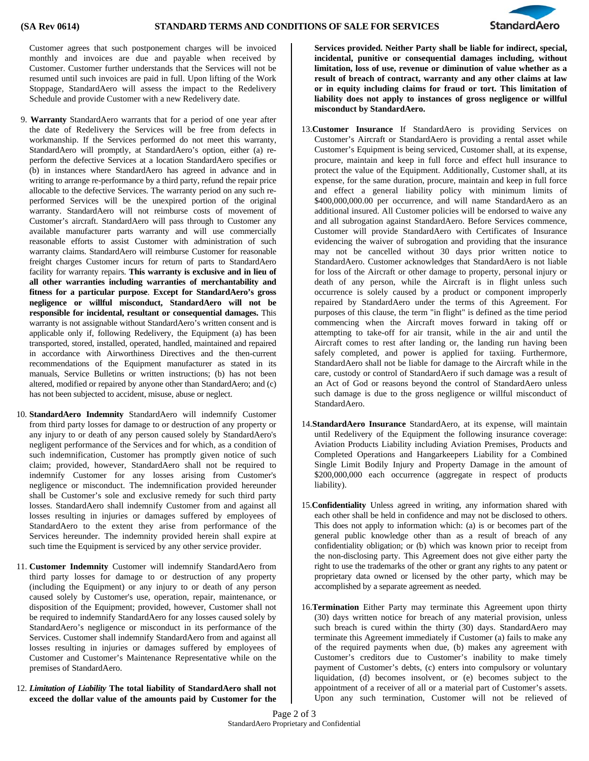

Customer agrees that such postponement charges will be invoiced monthly and invoices are due and payable when received by Customer. Customer further understands that the Services will not be resumed until such invoices are paid in full. Upon lifting of the Work Stoppage, StandardAero will assess the impact to the Redelivery Schedule and provide Customer with a new Redelivery date.

- 9. **Warranty** StandardAero warrants that for a period of one year after the date of Redelivery the Services will be free from defects in workmanship. If the Services performed do not meet this warranty, StandardAero will promptly, at StandardAero's option, either (a) reperform the defective Services at a location StandardAero specifies or (b) in instances where StandardAero has agreed in advance and in writing to arrange re-performance by a third party, refund the repair price allocable to the defective Services. The warranty period on any such reperformed Services will be the unexpired portion of the original warranty. StandardAero will not reimburse costs of movement of Customer's aircraft. StandardAero will pass through to Customer any available manufacturer parts warranty and will use commercially reasonable efforts to assist Customer with administration of such warranty claims. StandardAero will reimburse Customer for reasonable freight charges Customer incurs for return of parts to StandardAero facility for warranty repairs. **This warranty is exclusive and in lieu of all other warranties including warranties of merchantability and fitness for a particular purpose**. **Except for StandardAero's gross negligence or willful misconduct, StandardAero will not be responsible for incidental, resultant or consequential damages.** This warranty is not assignable without StandardAero's written consent and is applicable only if, following Redelivery, the Equipment (a) has been transported, stored, installed, operated, handled, maintained and repaired in accordance with Airworthiness Directives and the then-current recommendations of the Equipment manufacturer as stated in its manuals, Service Bulletins or written instructions; (b) has not been altered, modified or repaired by anyone other than StandardAero; and (c) has not been subjected to accident, misuse, abuse or neglect.
- 10. **StandardAero Indemnity** StandardAero will indemnify Customer from third party losses for damage to or destruction of any property or any injury to or death of any person caused solely by StandardAero's negligent performance of the Services and for which, as a condition of such indemnification, Customer has promptly given notice of such claim; provided, however, StandardAero shall not be required to indemnify Customer for any losses arising from Customer's negligence or misconduct. The indemnification provided hereunder shall be Customer's sole and exclusive remedy for such third party losses. StandardAero shall indemnify Customer from and against all losses resulting in injuries or damages suffered by employees of StandardAero to the extent they arise from performance of the Services hereunder. The indemnity provided herein shall expire at such time the Equipment is serviced by any other service provider.
- 11. **Customer Indemnity** Customer will indemnify StandardAero from third party losses for damage to or destruction of any property (including the Equipment) or any injury to or death of any person caused solely by Customer's use, operation, repair, maintenance, or disposition of the Equipment; provided, however, Customer shall not be required to indemnify StandardAero for any losses caused solely by StandardAero's negligence or misconduct in its performance of the Services. Customer shall indemnify StandardAero from and against all losses resulting in injuries or damages suffered by employees of Customer and Customer's Maintenance Representative while on the premises of StandardAero.
- 12. *Limitation of Liability* **The total liability of StandardAero shall not exceed the dollar value of the amounts paid by Customer for the**

**Services provided. Neither Party shall be liable for indirect, special, incidental, punitive or consequential damages including, without limitation, loss of use, revenue or diminution of value whether as a result of breach of contract, warranty and any other claims at law or in equity including claims for fraud or tort. This limitation of liability does not apply to instances of gross negligence or willful misconduct by StandardAero.** 

- 13.**Customer Insurance** If StandardAero is providing Services on Customer's Aircraft or StandardAero is providing a rental asset while Customer's Equipment is being serviced, Customer shall, at its expense, procure, maintain and keep in full force and effect hull insurance to protect the value of the Equipment. Additionally, Customer shall, at its expense, for the same duration, procure, maintain and keep in full force and effect a general liability policy with minimum limits of \$400,000,000.00 per occurrence, and will name StandardAero as an additional insured. All Customer policies will be endorsed to waive any and all subrogation against StandardAero. Before Services commence, Customer will provide StandardAero with Certificates of Insurance evidencing the waiver of subrogation and providing that the insurance may not be cancelled without 30 days prior written notice to StandardAero. Customer acknowledges that StandardAero is not liable for loss of the Aircraft or other damage to property, personal injury or death of any person, while the Aircraft is in flight unless such occurrence is solely caused by a product or component improperly repaired by StandardAero under the terms of this Agreement. For purposes of this clause, the term "in flight" is defined as the time period commencing when the Aircraft moves forward in taking off or attempting to take-off for air transit, while in the air and until the Aircraft comes to rest after landing or, the landing run having been safely completed, and power is applied for taxiing. Furthermore, StandardAero shall not be liable for damage to the Aircraft while in the care, custody or control of StandardAero if such damage was a result of an Act of God or reasons beyond the control of StandardAero unless such damage is due to the gross negligence or willful misconduct of StandardAero.
- 14.**StandardAero Insurance** StandardAero, at its expense, will maintain until Redelivery of the Equipment the following insurance coverage: Aviation Products Liability including Aviation Premises, Products and Completed Operations and Hangarkeepers Liability for a Combined Single Limit Bodily Injury and Property Damage in the amount of \$200,000,000 each occurrence (aggregate in respect of products liability).
- 15.**Confidentiality** Unless agreed in writing, any information shared with each other shall be held in confidence and may not be disclosed to others. This does not apply to information which: (a) is or becomes part of the general public knowledge other than as a result of breach of any confidentiality obligation; or (b) which was known prior to receipt from the non-disclosing party. This Agreement does not give either party the right to use the trademarks of the other or grant any rights to any patent or proprietary data owned or licensed by the other party, which may be accomplished by a separate agreement as needed.
- 16.**Termination** Either Party may terminate this Agreement upon thirty (30) days written notice for breach of any material provision, unless such breach is cured within the thirty (30) days. StandardAero may terminate this Agreement immediately if Customer (a) fails to make any of the required payments when due, (b) makes any agreement with Customer's creditors due to Customer's inability to make timely payment of Customer's debts, (c) enters into compulsory or voluntary liquidation, (d) becomes insolvent, or (e) becomes subject to the appointment of a receiver of all or a material part of Customer's assets. Upon any such termination, Customer will not be relieved of